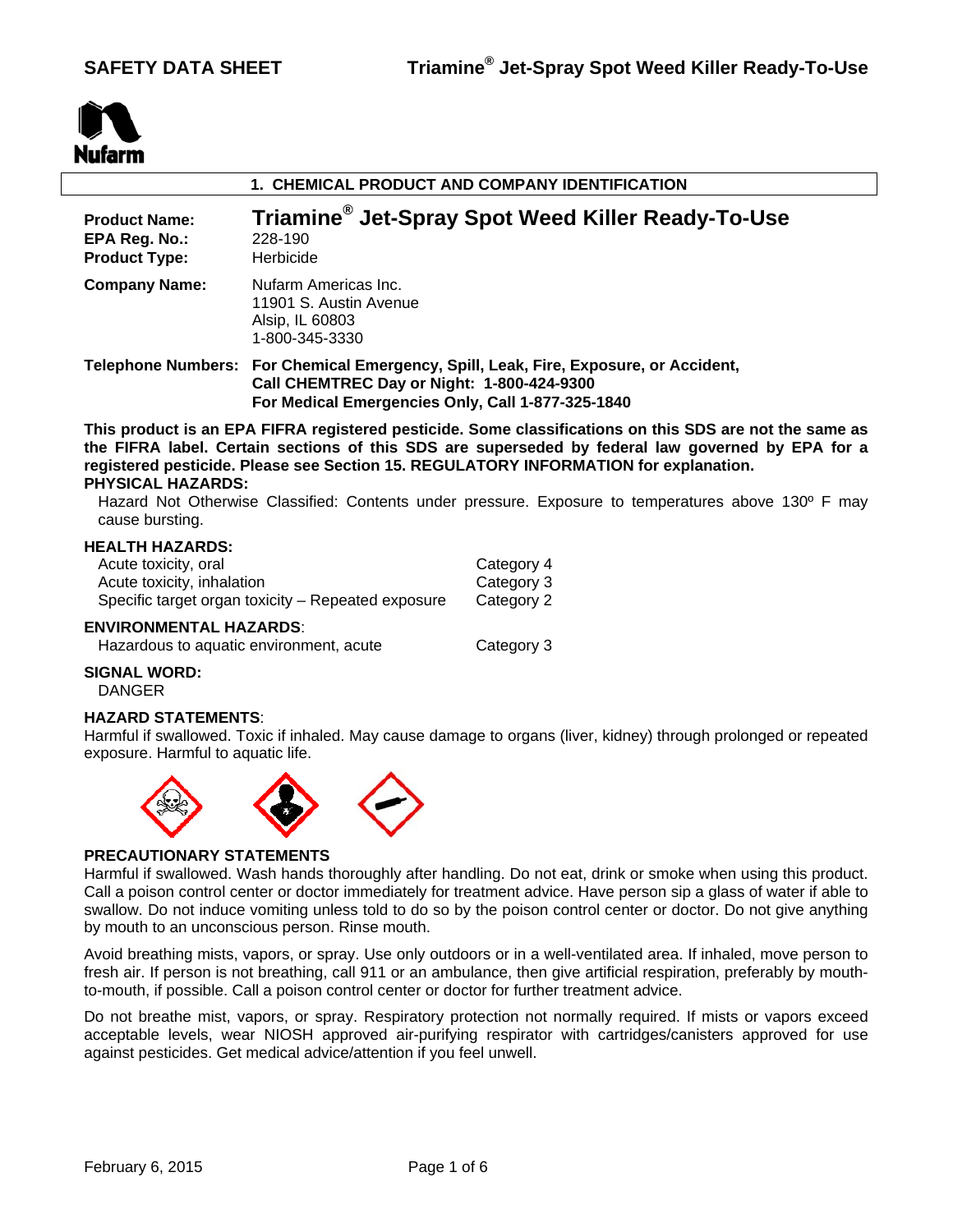

| 1. CHEMICAL PRODUCT AND COMPANY IDENTIFICATION                |                                                                                                                                                                                         |  |  |  |
|---------------------------------------------------------------|-----------------------------------------------------------------------------------------------------------------------------------------------------------------------------------------|--|--|--|
| <b>Product Name:</b><br>EPA Reg. No.:<br><b>Product Type:</b> | Triamine <sup>®</sup> Jet-Spray Spot Weed Killer Ready-To-Use<br>228-190<br>Herbicide                                                                                                   |  |  |  |
| <b>Company Name:</b>                                          | Nufarm Americas Inc.<br>11901 S. Austin Avenue<br>Alsip, IL 60803<br>1-800-345-3330                                                                                                     |  |  |  |
|                                                               | Telephone Numbers: For Chemical Emergency, Spill, Leak, Fire, Exposure, or Accident,<br>Call CHEMTREC Day or Night: 1-800-424-9300<br>For Medical Emergencies Only, Call 1-877-325-1840 |  |  |  |

**This product is an EPA FIFRA registered pesticide. Some classifications on this SDS are not the same as the FIFRA label. Certain sections of this SDS are superseded by federal law governed by EPA for a registered pesticide. Please see Section 15. REGULATORY INFORMATION for explanation. PHYSICAL HAZARDS:** 

Hazard Not Otherwise Classified: Contents under pressure. Exposure to temperatures above 130º F may cause bursting.

### **HEALTH HAZARDS:**

| Acute toxicity, oral                               | Category 4 |
|----------------------------------------------------|------------|
| Acute toxicity, inhalation                         | Category 3 |
| Specific target organ toxicity – Repeated exposure | Category 2 |

# **ENVIRONMENTAL HAZARDS**:

| Hazardous to aquatic environment, acute | Category 3 |
|-----------------------------------------|------------|
|-----------------------------------------|------------|

# **SIGNAL WORD:**

DANGER

#### **HAZARD STATEMENTS**:

Harmful if swallowed. Toxic if inhaled. May cause damage to organs (liver, kidney) through prolonged or repeated exposure. Harmful to aquatic life.



# **PRECAUTIONARY STATEMENTS**

Harmful if swallowed. Wash hands thoroughly after handling. Do not eat, drink or smoke when using this product. Call a poison control center or doctor immediately for treatment advice. Have person sip a glass of water if able to swallow. Do not induce vomiting unless told to do so by the poison control center or doctor. Do not give anything by mouth to an unconscious person. Rinse mouth.

Avoid breathing mists, vapors, or spray. Use only outdoors or in a well-ventilated area. If inhaled, move person to fresh air. If person is not breathing, call 911 or an ambulance, then give artificial respiration, preferably by mouthto-mouth, if possible. Call a poison control center or doctor for further treatment advice.

Do not breathe mist, vapors, or spray. Respiratory protection not normally required. If mists or vapors exceed acceptable levels, wear NIOSH approved air-purifying respirator with cartridges/canisters approved for use against pesticides. Get medical advice/attention if you feel unwell.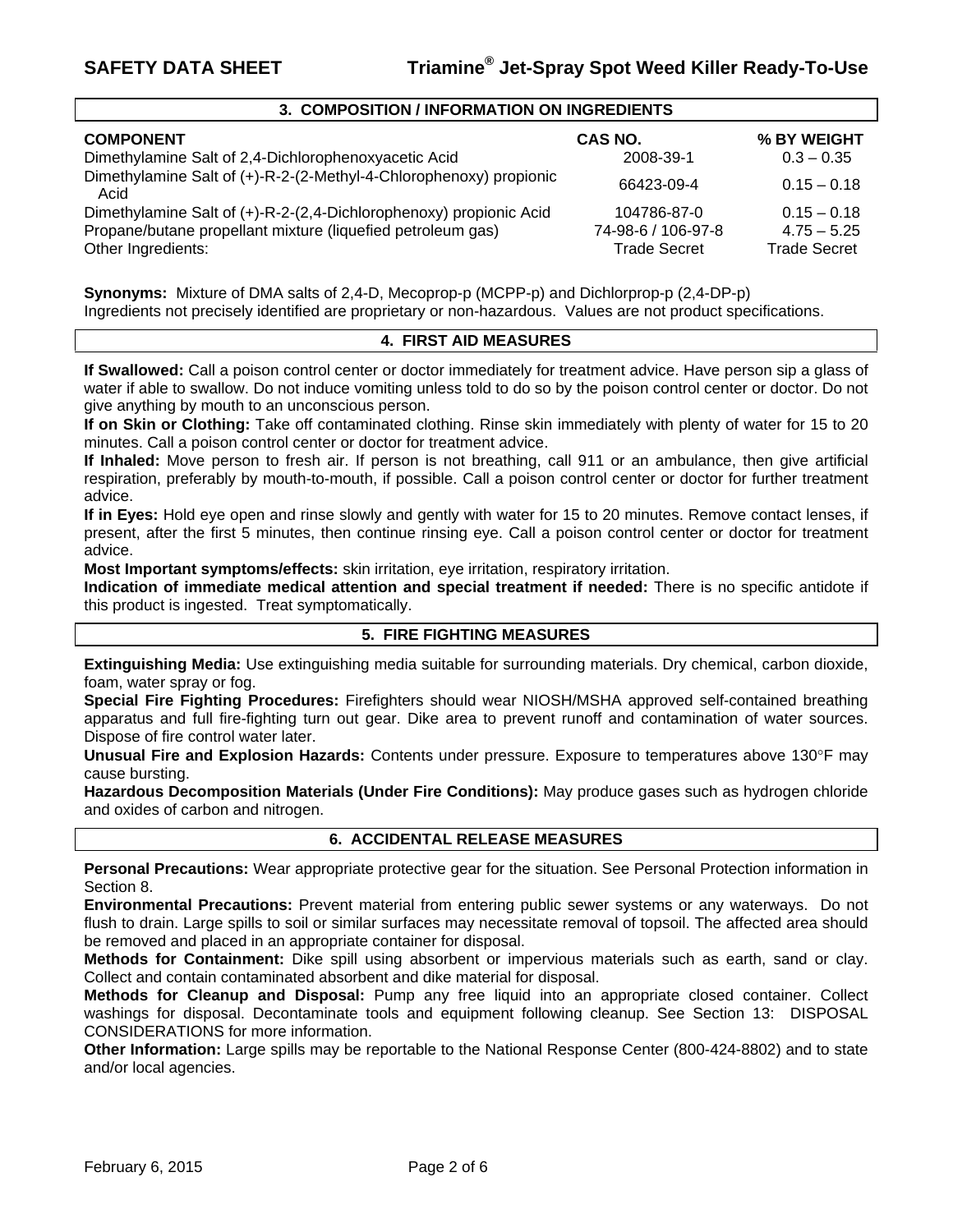#### **3. COMPOSITION / INFORMATION ON INGREDIENTS**

| <b>COMPONENT</b>                                                           | CAS NO.             | % BY WEIGHT         |
|----------------------------------------------------------------------------|---------------------|---------------------|
| Dimethylamine Salt of 2,4-Dichlorophenoxyacetic Acid                       | 2008-39-1           | $0.3 - 0.35$        |
| Dimethylamine Salt of (+)-R-2-(2-Methyl-4-Chlorophenoxy) propionic<br>Acid | 66423-09-4          | $0.15 - 0.18$       |
| Dimethylamine Salt of (+)-R-2-(2,4-Dichlorophenoxy) propionic Acid         | 104786-87-0         | $0.15 - 0.18$       |
| Propane/butane propellant mixture (liquefied petroleum gas)                | 74-98-6 / 106-97-8  | $4.75 - 5.25$       |
| Other Ingredients:                                                         | <b>Trade Secret</b> | <b>Trade Secret</b> |

**Synonyms:** Mixture of DMA salts of 2,4-D, Mecoprop-p (MCPP-p) and Dichlorprop-p (2,4-DP-p) Ingredients not precisely identified are proprietary or non-hazardous. Values are not product specifications.

#### **4. FIRST AID MEASURES**

**If Swallowed:** Call a poison control center or doctor immediately for treatment advice. Have person sip a glass of water if able to swallow. Do not induce vomiting unless told to do so by the poison control center or doctor. Do not give anything by mouth to an unconscious person.

**If on Skin or Clothing:** Take off contaminated clothing. Rinse skin immediately with plenty of water for 15 to 20 minutes. Call a poison control center or doctor for treatment advice.

**If Inhaled:** Move person to fresh air. If person is not breathing, call 911 or an ambulance, then give artificial respiration, preferably by mouth-to-mouth, if possible. Call a poison control center or doctor for further treatment advice.

**If in Eyes:** Hold eye open and rinse slowly and gently with water for 15 to 20 minutes. Remove contact lenses, if present, after the first 5 minutes, then continue rinsing eye. Call a poison control center or doctor for treatment advice.

**Most Important symptoms/effects:** skin irritation, eye irritation, respiratory irritation.

**Indication of immediate medical attention and special treatment if needed:** There is no specific antidote if this product is ingested. Treat symptomatically.

### **5. FIRE FIGHTING MEASURES**

**Extinguishing Media:** Use extinguishing media suitable for surrounding materials. Dry chemical, carbon dioxide, foam, water spray or fog.

**Special Fire Fighting Procedures:** Firefighters should wear NIOSH/MSHA approved self-contained breathing apparatus and full fire-fighting turn out gear. Dike area to prevent runoff and contamination of water sources. Dispose of fire control water later.

**Unusual Fire and Explosion Hazards:** Contents under pressure. Exposure to temperatures above 130°F may cause bursting.

**Hazardous Decomposition Materials (Under Fire Conditions):** May produce gases such as hydrogen chloride and oxides of carbon and nitrogen.

#### **6. ACCIDENTAL RELEASE MEASURES**

**Personal Precautions:** Wear appropriate protective gear for the situation. See Personal Protection information in Section 8.

**Environmental Precautions:** Prevent material from entering public sewer systems or any waterways. Do not flush to drain. Large spills to soil or similar surfaces may necessitate removal of topsoil. The affected area should be removed and placed in an appropriate container for disposal.

**Methods for Containment:** Dike spill using absorbent or impervious materials such as earth, sand or clay. Collect and contain contaminated absorbent and dike material for disposal.

**Methods for Cleanup and Disposal:** Pump any free liquid into an appropriate closed container. Collect washings for disposal. Decontaminate tools and equipment following cleanup. See Section 13: DISPOSAL CONSIDERATIONS for more information.

**Other Information:** Large spills may be reportable to the National Response Center (800-424-8802) and to state and/or local agencies.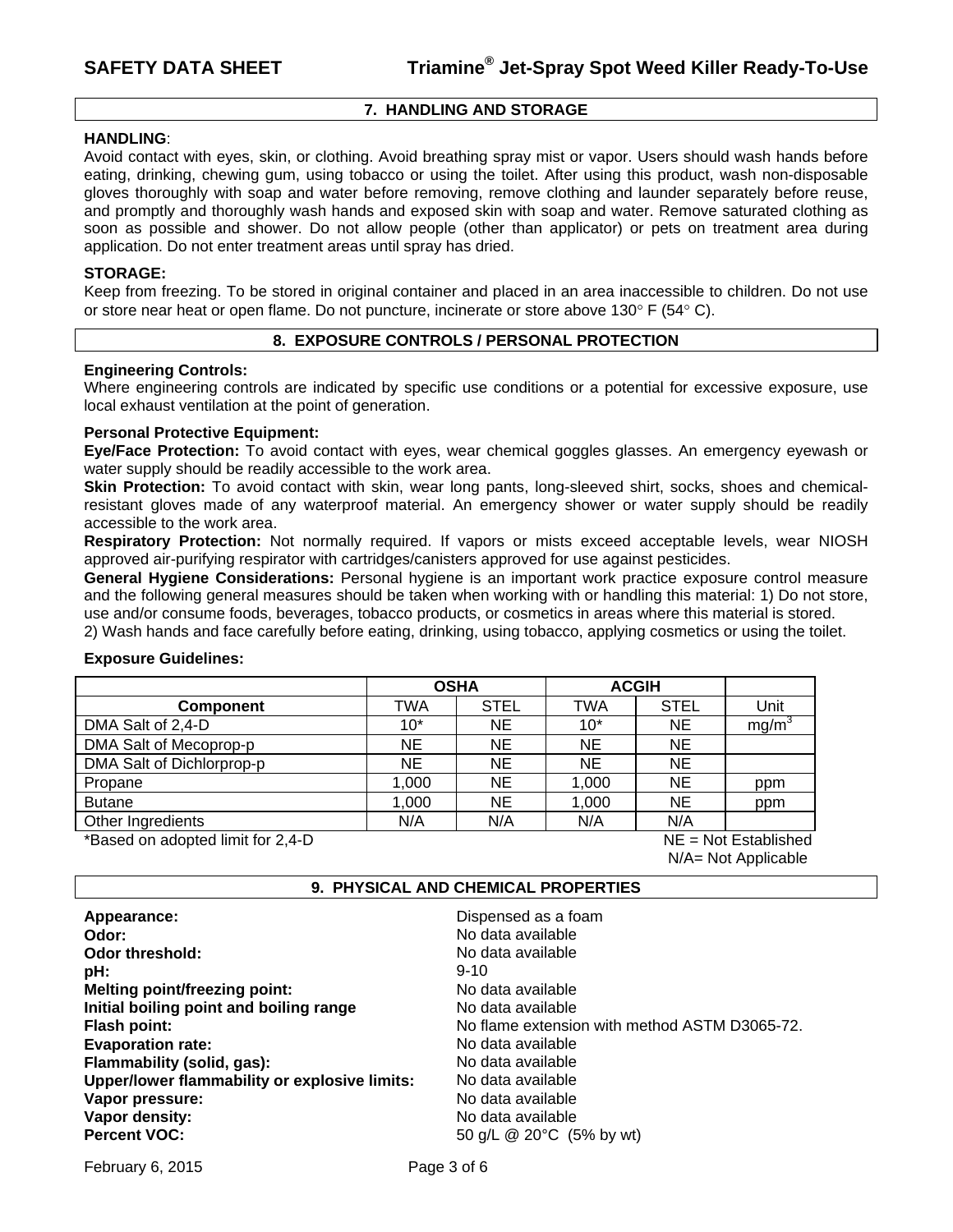# **7. HANDLING AND STORAGE**

#### **HANDLING**:

Avoid contact with eyes, skin, or clothing. Avoid breathing spray mist or vapor. Users should wash hands before eating, drinking, chewing gum, using tobacco or using the toilet. After using this product, wash non-disposable gloves thoroughly with soap and water before removing, remove clothing and launder separately before reuse, and promptly and thoroughly wash hands and exposed skin with soap and water. Remove saturated clothing as soon as possible and shower. Do not allow people (other than applicator) or pets on treatment area during application. Do not enter treatment areas until spray has dried.

# **STORAGE:**

Keep from freezing. To be stored in original container and placed in an area inaccessible to children. Do not use or store near heat or open flame. Do not puncture, incinerate or store above 130 $\degree$  F (54 $\degree$  C).

#### **8. EXPOSURE CONTROLS / PERSONAL PROTECTION**

#### **Engineering Controls:**

Where engineering controls are indicated by specific use conditions or a potential for excessive exposure, use local exhaust ventilation at the point of generation.

#### **Personal Protective Equipment:**

**Eye/Face Protection:** To avoid contact with eyes, wear chemical goggles glasses. An emergency eyewash or water supply should be readily accessible to the work area.

**Skin Protection:** To avoid contact with skin, wear long pants, long-sleeved shirt, socks, shoes and chemicalresistant gloves made of any waterproof material. An emergency shower or water supply should be readily accessible to the work area.

**Respiratory Protection:** Not normally required. If vapors or mists exceed acceptable levels, wear NIOSH approved air-purifying respirator with cartridges/canisters approved for use against pesticides.

**General Hygiene Considerations:** Personal hygiene is an important work practice exposure control measure and the following general measures should be taken when working with or handling this material: 1) Do not store, use and/or consume foods, beverages, tobacco products, or cosmetics in areas where this material is stored.

2) Wash hands and face carefully before eating, drinking, using tobacco, applying cosmetics or using the toilet.

#### **Exposure Guidelines:**

|                           | <b>OSHA</b> |             | <b>ACGIH</b> |             |                   |
|---------------------------|-------------|-------------|--------------|-------------|-------------------|
| <b>Component</b>          | TWA         | <b>STEL</b> | <b>TWA</b>   | <b>STEL</b> | Unit              |
| DMA Salt of 2,4-D         | $10*$       | <b>NE</b>   | $10*$        | <b>NE</b>   | mg/m <sup>3</sup> |
| DMA Salt of Mecoprop-p    | NE          | <b>NE</b>   | <b>NE</b>    | <b>NE</b>   |                   |
| DMA Salt of Dichlorprop-p | NE          | <b>NE</b>   | <b>NE</b>    | <b>NE</b>   |                   |
| Propane                   | 1,000       | <b>NE</b>   | 1,000        | <b>NE</b>   | ppm               |
| <b>Butane</b>             | 1,000       | NE          | 1,000        | <b>NE</b>   | ppm               |
| Other Ingredients         | N/A         | N/A         | N/A          | N/A         |                   |

\*Based on adopted limit for 2,4-D NE = Not Established

N/A= Not Applicable

#### **9. PHYSICAL AND CHEMICAL PROPERTIES**

| Appearance:                                   | Dispensed as a foam                           |
|-----------------------------------------------|-----------------------------------------------|
| Odor:                                         | No data available                             |
| Odor threshold:                               | No data available                             |
| pH:                                           | $9 - 10$                                      |
| <b>Melting point/freezing point:</b>          | No data available                             |
| Initial boiling point and boiling range       | No data available                             |
| <b>Flash point:</b>                           | No flame extension with method ASTM D3065-72. |
| <b>Evaporation rate:</b>                      | No data available                             |
| Flammability (solid, gas):                    | No data available                             |
| Upper/lower flammability or explosive limits: | No data available                             |
| Vapor pressure:                               | No data available                             |
| Vapor density:                                | No data available                             |
| <b>Percent VOC:</b>                           | 50 g/L @ 20°C (5% by wt)                      |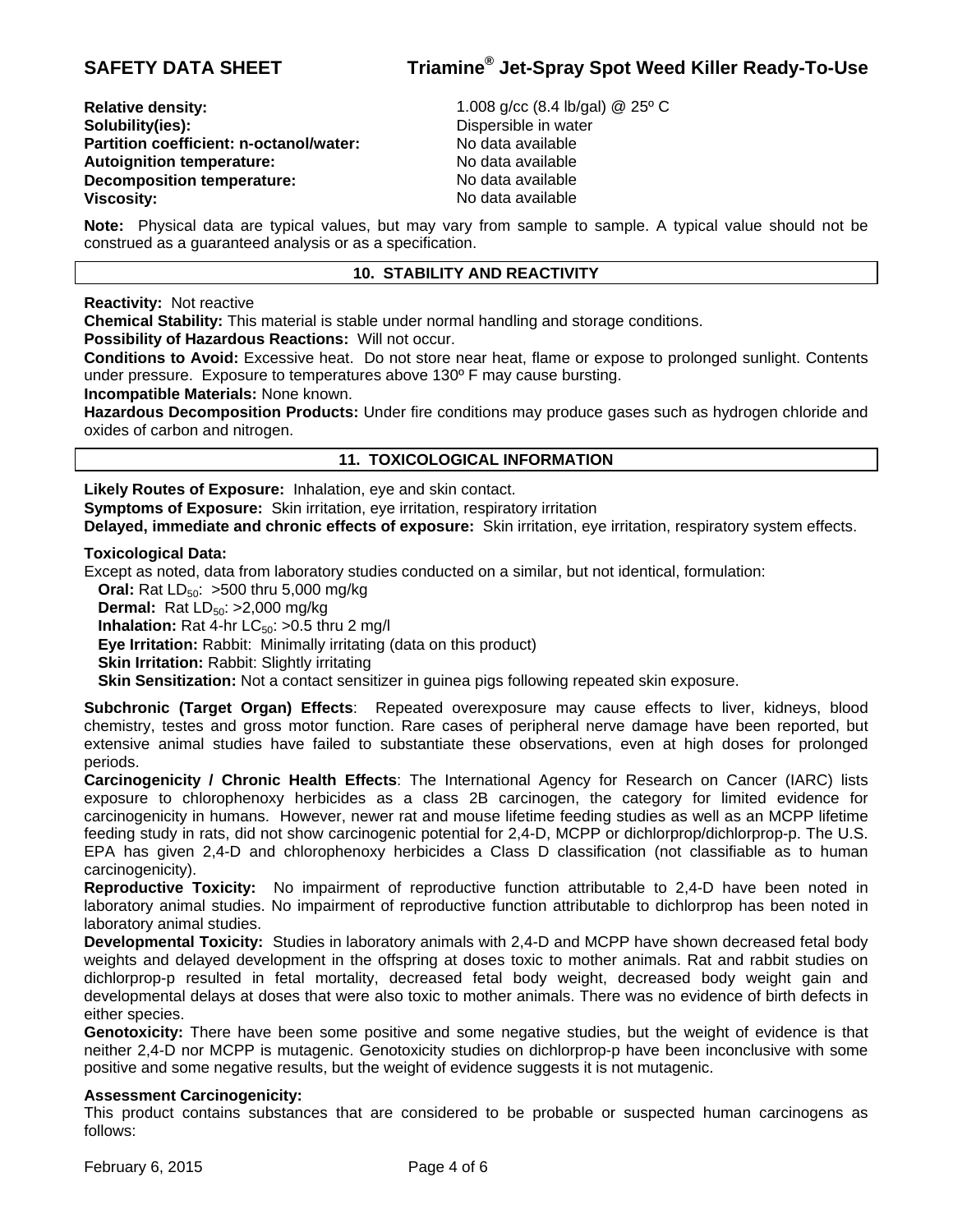**Relative density:** 1.008 g/cc (8.4 lb/gal) @ 25º C **Solubility(ies): Colubility(ies): Colubility(ies): Dispersible in water Partition coefficient: n-octanol/water:** No data available Autoignition temperature: No data available **Decomposition temperature:** No data available **Viscosity: No data available** 

**Note:** Physical data are typical values, but may vary from sample to sample. A typical value should not be construed as a guaranteed analysis or as a specification.

# **10. STABILITY AND REACTIVITY**

**Reactivity:** Not reactive

**Chemical Stability:** This material is stable under normal handling and storage conditions.

**Possibility of Hazardous Reactions:** Will not occur.

**Conditions to Avoid:** Excessive heat. Do not store near heat, flame or expose to prolonged sunlight. Contents under pressure. Exposure to temperatures above 130º F may cause bursting.

**Incompatible Materials:** None known.

**Hazardous Decomposition Products:** Under fire conditions may produce gases such as hydrogen chloride and oxides of carbon and nitrogen.

# **11. TOXICOLOGICAL INFORMATION**

**Likely Routes of Exposure:** Inhalation, eye and skin contact.

**Symptoms of Exposure:** Skin irritation, eye irritation, respiratory irritation

**Delayed, immediate and chronic effects of exposure:** Skin irritation, eye irritation, respiratory system effects.

#### **Toxicological Data:**

Except as noted, data from laboratory studies conducted on a similar, but not identical, formulation:

**Oral:** Rat  $LD_{50}$ : >500 thru 5,000 mg/kg

**Dermal:** Rat LD<sub>50</sub>: >2,000 mg/kg

**Inhalation:** Rat 4-hr LC<sub>50</sub>: >0.5 thru 2 mg/l

**Eye Irritation:** Rabbit: Minimally irritating (data on this product)

**Skin Irritation: Rabbit: Slightly irritating** 

**Skin Sensitization:** Not a contact sensitizer in guinea pigs following repeated skin exposure.

**Subchronic (Target Organ) Effects**: Repeated overexposure may cause effects to liver, kidneys, blood chemistry, testes and gross motor function. Rare cases of peripheral nerve damage have been reported, but extensive animal studies have failed to substantiate these observations, even at high doses for prolonged periods.

**Carcinogenicity / Chronic Health Effects**: The International Agency for Research on Cancer (IARC) lists exposure to chlorophenoxy herbicides as a class 2B carcinogen, the category for limited evidence for carcinogenicity in humans. However, newer rat and mouse lifetime feeding studies as well as an MCPP lifetime feeding study in rats, did not show carcinogenic potential for 2,4-D, MCPP or dichlorprop/dichlorprop-p. The U.S. EPA has given 2,4-D and chlorophenoxy herbicides a Class D classification (not classifiable as to human carcinogenicity).

**Reproductive Toxicity:** No impairment of reproductive function attributable to 2,4-D have been noted in laboratory animal studies. No impairment of reproductive function attributable to dichlorprop has been noted in laboratory animal studies.

**Developmental Toxicity:** Studies in laboratory animals with 2,4-D and MCPP have shown decreased fetal body weights and delayed development in the offspring at doses toxic to mother animals. Rat and rabbit studies on dichlorprop-p resulted in fetal mortality, decreased fetal body weight, decreased body weight gain and developmental delays at doses that were also toxic to mother animals. There was no evidence of birth defects in either species.

**Genotoxicity:** There have been some positive and some negative studies, but the weight of evidence is that neither 2,4-D nor MCPP is mutagenic. Genotoxicity studies on dichlorprop-p have been inconclusive with some positive and some negative results, but the weight of evidence suggests it is not mutagenic.

# **Assessment Carcinogenicity:**

This product contains substances that are considered to be probable or suspected human carcinogens as follows: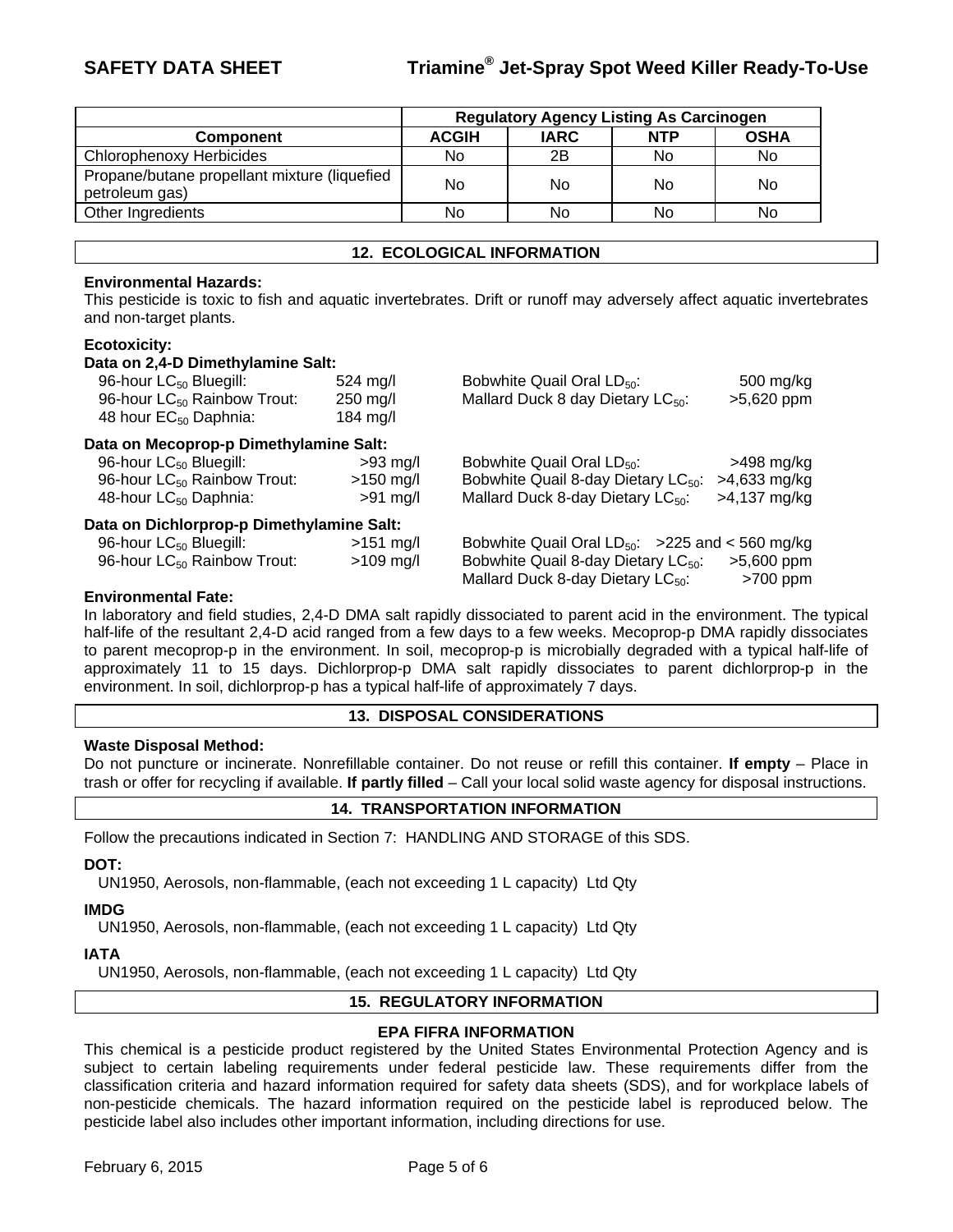|                                                                | <b>Regulatory Agency Listing As Carcinogen</b> |             |            |             |
|----------------------------------------------------------------|------------------------------------------------|-------------|------------|-------------|
| <b>Component</b>                                               | <b>ACGIH</b>                                   | <b>IARC</b> | <b>NTP</b> | <b>OSHA</b> |
| <b>Chlorophenoxy Herbicides</b>                                | No.                                            | 2B          | No         | No          |
| Propane/butane propellant mixture (liquefied<br>petroleum gas) | No                                             | No.         | No         | No          |
| Other Ingredients                                              | No                                             | No          | No         | No          |

#### **12. ECOLOGICAL INFORMATION**

#### **Environmental Hazards:**

This pesticide is toxic to fish and aquatic invertebrates. Drift or runoff may adversely affect aquatic invertebrates and non-target plants.

#### **Ecotoxicity:**

| Data on 2,4-D Dimethylamine Salt:         |                    |                                                                                                  |                            |  |  |
|-------------------------------------------|--------------------|--------------------------------------------------------------------------------------------------|----------------------------|--|--|
| 96-hour LC <sub>50</sub> Bluegill:        | $524 \text{ mg/l}$ | Bobwhite Quail Oral LD <sub>50</sub> :                                                           | 500 mg/kg                  |  |  |
| 96-hour LC <sub>50</sub> Rainbow Trout:   | $250$ mg/l         | Mallard Duck 8 day Dietary $LC_{50}$ :                                                           | >5,620 ppm                 |  |  |
| 48 hour EC <sub>50</sub> Daphnia:         | $184 \text{ mg/l}$ |                                                                                                  |                            |  |  |
| Data on Mecoprop-p Dimethylamine Salt:    |                    |                                                                                                  |                            |  |  |
| 96-hour LC <sub>50</sub> Bluegill:        | $>93$ mg/l         | Bobwhite Quail Oral $LD_{50}$ :                                                                  | $>498$ mg/kg               |  |  |
| 96-hour LC <sub>50</sub> Rainbow Trout:   | $>150$ mg/l        | Bobwhite Quail 8-day Dietary LC <sub>50</sub> :                                                  | $>4,633$ mg/kg             |  |  |
| 48-hour LC <sub>50</sub> Daphnia:         | $>91$ mg/l         | Mallard Duck 8-day Dietary $LC_{50}$ :                                                           | $>4,137$ mg/kg             |  |  |
| Data on Dichlorprop-p Dimethylamine Salt: |                    |                                                                                                  |                            |  |  |
| 96-hour LC <sub>50</sub> Bluegill:        | $>151$ mg/l        | Bobwhite Quail Oral $LD_{50}$ : >225 and < 560 mg/kg                                             |                            |  |  |
| 96-hour LC <sub>50</sub> Rainbow Trout:   | $>109$ mg/l        | Bobwhite Quail 8-day Dietary LC <sub>50</sub> :<br>Mallard Duck 8-day Dietary LC <sub>50</sub> : | $>5,600$ ppm<br>$>700$ ppm |  |  |

#### **Environmental Fate:**

In laboratory and field studies, 2,4-D DMA salt rapidly dissociated to parent acid in the environment. The typical half-life of the resultant 2,4-D acid ranged from a few days to a few weeks. Mecoprop-p DMA rapidly dissociates to parent mecoprop-p in the environment. In soil, mecoprop-p is microbially degraded with a typical half-life of approximately 11 to 15 days. Dichlorprop-p DMA salt rapidly dissociates to parent dichlorprop-p in the environment. In soil, dichlorprop-p has a typical half-life of approximately 7 days.

#### **13. DISPOSAL CONSIDERATIONS**

#### **Waste Disposal Method:**

Do not puncture or incinerate. Nonrefillable container. Do not reuse or refill this container. **If empty** – Place in trash or offer for recycling if available. **If partly filled** – Call your local solid waste agency for disposal instructions.

### **14. TRANSPORTATION INFORMATION**

Follow the precautions indicated in Section 7: HANDLING AND STORAGE of this SDS.

### **DOT:**

UN1950, Aerosols, non-flammable, (each not exceeding 1 L capacity) Ltd Qty

#### **IMDG**

UN1950, Aerosols, non-flammable, (each not exceeding 1 L capacity) Ltd Qty

#### **IATA**

UN1950, Aerosols, non-flammable, (each not exceeding 1 L capacity) Ltd Qty

#### **15. REGULATORY INFORMATION**

#### **EPA FIFRA INFORMATION**

This chemical is a pesticide product registered by the United States Environmental Protection Agency and is subject to certain labeling requirements under federal pesticide law. These requirements differ from the classification criteria and hazard information required for safety data sheets (SDS), and for workplace labels of non-pesticide chemicals. The hazard information required on the pesticide label is reproduced below. The pesticide label also includes other important information, including directions for use.